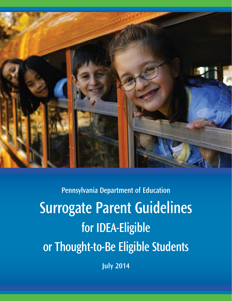

**Pennsylvania Department of Education Surrogate Parent Guidelines for IDEA-Eligible or Thought-to-Be Eligible Students July 2014**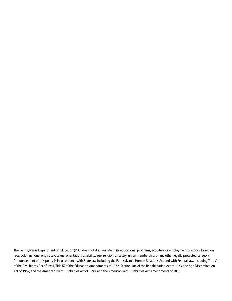The Pennsylvania Department of Education (PDE) does not discriminate in its educational programs, activities, or employment practices, based on race, color, national origin, sex, sexual orientation, disability, age, religion, ancestry, union membership, or any other legally protected category. Announcement of this policy is in accordance with State law including the Pennsylvania Human Relations Act and with Federal law, including Title VI of the Civil Rights Act of 1964, Title IX of the Education Amendments of 1972, Section 504 of the Rehabilitation Act of 1973, the Age Discrimination Act of 1967, and the Americans with Disabilities Act of 1990, and the American with Disabilities Act Amendments of 2008.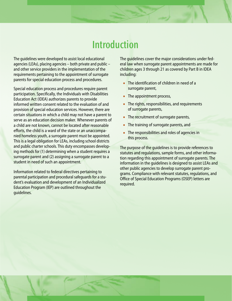# **Introduction**

The guidelines were developed to assist local educational agencies (LEAs), placing agencies – both private and public – and other service providers in the implementation of the requirements pertaining to the appointment of surrogate parents for special education process and procedures.

Special education process and procedures require parent participation. Specifically, the Individuals with Disabilities Education Act (IDEA) authorizes parents to provide informed written consent related to the evaluation of and provision of special education services. However, there are certain situations in which a child may not have a parent to serve as an education decision maker. Whenever parents of a child are not known, cannot be located after reasonable efforts, the child is a ward of the state or an unaccompanied homeless youth, a surrogate parent must be appointed. This is a legal obligation for LEAs, including school districts and public charter schools. This duty encompasses developing methods for (1) determining when a student requires a surrogate parent and (2) assigning a surrogate parent to a student in need of such an appointment.

Information related to federal directives pertaining to parental participation and procedural safeguards for a student's evaluation and development of an Individualized Education Program (IEP) are outlined throughout the guidelines.

The guidelines cover the major considerations under federal law when surrogate parent appointments are made for children ages 3 through 21 as covered by Part B in IDEA including:

- The identification of children in need of a surrogate parent,
- The appointment process,
- The rights, responsibilities, and requirements of surrogate parents,
- The recruitment of surrogate parents,
- The training of surrogate parents, and
- The responsibilities and roles of agencies in this process.

The purpose of the guidelines is to provide references to statutes and regulations, sample forms, and other information regarding this appointment of surrogate parents. The information in the guidelines is designed to assist LEAs and other public agencies to develop surrogate parent programs. Compliance with relevant statutes, regulations, and Office of Special Education Programs (OSEP) letters are required.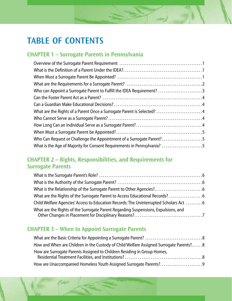## **TABLE OF CONTENTS**

## **CHAPTER 1 – Surrogate Parents in Pennsylvania**

| Who can Appoint a Surrogate Parent to Fulfill the IDEA Requirement? 3   |
|-------------------------------------------------------------------------|
|                                                                         |
|                                                                         |
| What are the Rights of a Parent Once a Surrogate Parent is Selected? 4  |
|                                                                         |
|                                                                         |
|                                                                         |
| Who Can Request or Challenge the Appointment of a Surrogate Parent?5    |
| What is the Age of Majority for Consent Requirements in Pennsylvania? 5 |
|                                                                         |

## **CHAPTER 2 – Rights, Responsibilities, and Requirements for Surrogate Parents**

| What are the Rights of the Surrogate Parent to Access Educational Records?            |  |
|---------------------------------------------------------------------------------------|--|
| Child Welfare Agencies' Access to Education Records: The Uninterrupted Scholars Act 6 |  |
| What are the Rights of the Surrogate Parent Regarding Suspensions, Expulsions, and    |  |

## **CHAPTER 3 – When to Appoint Surrogate Parents**

| How and When are Children in the Custody of Child Welfare Assigned Surrogate Parents?8 |  |
|----------------------------------------------------------------------------------------|--|
| How are Surrogate Parents Assigned to Children Residing in Group Homes,                |  |
|                                                                                        |  |
|                                                                                        |  |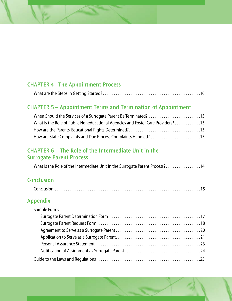## **CHAPTER 4– The Appointment Process**

|--|--|

## **CHAPTER 5 – Appointment Terms and Termination of Appointment**

| When Should the Services of a Surrogate Parent Be Terminated? 13                 |  |
|----------------------------------------------------------------------------------|--|
| What is the Role of Public Noneducational Agencies and Foster Care Providers? 13 |  |
|                                                                                  |  |
| How are State Complaints and Due Process Complaints Handled? 13                  |  |

## **CHAPTER 6 – The Role of the Intermediate Unit in the Surrogate Parent Process**

| What is the Role of the Intermediate Unit in the Surrogate Parent Process?14 |
|------------------------------------------------------------------------------|
|------------------------------------------------------------------------------|

## **Conclusion**

|--|--|--|

## **Appendix**

| Sample Forms |  |
|--------------|--|
|              |  |
|              |  |
|              |  |
|              |  |
|              |  |
|              |  |
|              |  |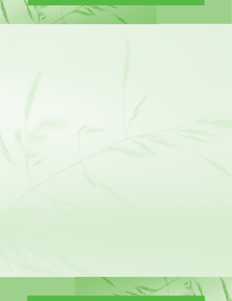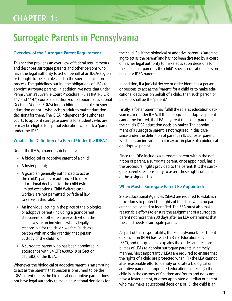# **CHAPTER 1:**

# **Surrogate Parents in Pennsylvania**

#### **Overview of the Surrogate Parent Requirement**

This section provides an overview of federal requirements and describes surrogate parents and other persons who have the legal authority to act on behalf of an IDEA-eligible or thought-to-be eligible child in the special education process. The guidelines outline the obligations of LEAs to appoint surrogate parents. In addition, we note that under Pennsylvania's Juvenile Court Procedural Rules (PA. R.J.C.P. 147 and 1147) courts are authorized to appoint Educational Decision Makers (EDMs) for all children – eligible for special education or not – who lack an adult to make education decisions for them. The IDEA independently authorizes courts to appoint surrogate parents for students who are or may be eligible for special education who lack a "parent" under the IDEA.

#### **What is the Definition of a Parent Under the IDEA?**

Under the IDEA, a parent is defined as:

- A biological or adoptive parent of a child;
- A foster parent;
- A guardian generally authorized to act as the child's parent, or authorized to make educational decisions for the child (with limited exceptions, Child Welfare caseworkers are not permitted, by federal law, to serve in this role);
- An individual acting in the place of the biological or adoptive parent (including a grandparent, stepparent, or other relative) with whom the child lives, or an individual who is legally responsible for the child's welfare (such as a person with an order granting that person custody of the child); or
- A surrogate parent who has been appointed in accordance with 34 CFR §300.519 or Section 615(a)(2) of the IDEA.

Whenever the biological or adoptive parent is "attempting to act as the parent," that person is presumed to be the IDEA parent unless the biological or adoptive parent does not have legal authority to make educational decisions for the child. So, if the biological or adoptive parent is "attempting to act as the parent" and has not been divested by a court of his/her legal authority to make education decisions for the child, that parent is the child's special education decision maker or IDEA parent.

In addition, if a judicial decree or order identifies a person or persons to act as the "parent" for a child or to make educational decisions on behalf of a child, then such person or persons shall be the "parent."

Finally, a foster parent may fulfill the role as education decision maker under IDEA. If the biological or adoptive parent cannot be located, the LEA may treat the foster parent as the child's IDEA education decision maker. The appointment of a surrogate parent is not required in this case since under the definition of parent in IDEA, foster parent is listed as an individual that may act in place of a biological or adoptive parent.

Since the IDEA includes a surrogate parent within the definition of parent, a surrogate parent, once appointed, has all the procedural rights provided to the parent. It is the surrogate parent's responsibility to assert these rights on behalf of the assigned child.

#### **When Must a Surrogate Parent Be Appointed?**

State Educational Agencies (SEAs) are required to establish procedures to protect the rights of the child when no parent can be located or identified. The SEA must also make reasonable efforts to ensure the assignment of a surrogate parent not more than 30 days after an LEA determines that the child needs a surrogate parent.

As part of this responsibility, the Pennsylvania Department of Education (PDE) has issued a Basic Education Circular (BEC), and this guidance explains the duties and responsibilities of LEAs to appoint surrogate parents in a timely manner. Most importantly, LEAs are required to ensure that the rights of a child are protected when: (1) the LEA cannot, after reasonable efforts, identify or locate a biological or adoptive parent, or appointed educational maker; (2) the child is in the custody of Children and Youth and does not have a foster parent, or other appointed guardian or parent who may make educational decisions; or (3) the child is an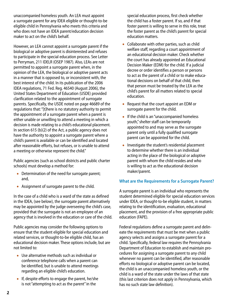unaccompanied homeless youth. An LEA must appoint a surrogate parent for any IDEA eligible or thought-to-be eligible child in Pennsylvania who meets this criteria and who does not have an IDEA parent/education decision maker to act on the child's behalf.

However, an LEA cannot appoint a surrogate parent if the biological or adoptive parent is disinterested and refuses to participate in the special education process. See Letter to Perryman, 211 IDELR (OSEP 1987). Also, LEAs are not permitted to appoint a surrogate parent when, in the opinion of the LEA, the biological or adoptive parent acts in a manner that is opposed to, or inconsistent with, the best interest of the child. In its publication of the 2006 IDEA regulations, 71 Fed. Reg. 46540 (August 2006), the United States Department of Education (USDE) provided clarification related to the appointment of surrogate parents. Specifically, the USDE noted on page 46689 of the regulations that: "[t]here is no statutory authority to permit the appointment of a surrogate parent when a parent is either unable or unwilling to attend a meeting in which a decision is made relating to a child's educational placement. In section 615 (b)(2) of the Act, a public agency does not have the authority to appoint a surrogate parent where a child's parent is available or can be identified and located after reasonable efforts, but refuses, or is unable to attend a meeting or otherwise represent the child."

Public agencies (such as school districts and public charter schools) must develop a method for:

- Determination of the need for surrogate parent; and,
- Assignment of surrogate parent to the child.

In the case of a child who is a ward of the state as defined in the IDEA, (see below), the surrogate parent alternatively may be appointed by the judge overseeing the child's case, provided that the surrogate is not an employee of an agency that is involved in the education or care of the child.

Public agencies may consider the following options to ensure that the student eligible for special education and related services, or thought-to-be eligible child, has an educational decision maker. These options include, but are not limited to:

- Use alternative methods such as individual or conference telephone calls when a parent can be identified, but is unable to attend meetings regarding an eligible child's education.
- If, despite efforts to engage the parent, he/she is not "attempting to act as the parent" in the

special education process, first check whether the child has a foster parent. If so, and if that foster parent is willing to serve in this role, treat the foster parent as the child's parent for special education matters.

- Collaborate with other parties, such as child welfare staff, regarding a court appointment of an educational decision maker. Check whether the court has already appointed an Educational Decision Maker (EDM) for the child. If a judicial decree or order identifies a person or persons to act as the parent of a child or to make educational decisions on behalf of that child, then that person must be treated by the LEA as the child's parent for all matters related to special education.
- Request that the court appoint an EDM or surrogate parent for the child.
- If the child is an "unaccompanied homeless youth," shelter staff can be temporarily appointed to and may serve as the surrogate parent only until a fully qualified surrogate parent can be appointed for the child.
- Investigate the student's residential placement to determine whether there is an individual acting in the place of the biological or adoptive parent with whom the child resides and who is willing to act as the educational decision maker/parent.

#### **What are the Requirements for a Surrogate Parent?**

A surrogate parent is an individual who represents the student determined eligible for special education services under IDEA, or thought-to-be eligible student, in matters relating to the identification, evaluation, educational placement, and the provision of a free appropriate public education (FAPE).

Federal regulations define a surrogate parent and delineate the requirements that must be met when a public agency selects and assigns a surrogate parent for a child. Specifically, federal law requires the Pennsylvania Department of Education to establish and maintain procedures for assigning a surrogate parent to any child whenever no parent can be identified, after reasonable efforts no biological or adoptive parent can be located, the child is an unaccompanied homeless youth, or the child is a ward of the state under the laws of that state (this last criterion does not apply in Pennsylvania, which has no such state law definition).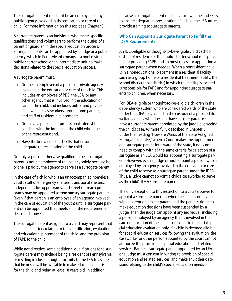The surrogate parent must not be an employee of any public agency involved in the education or care of the child. For more information on this topic see Chapter 3.

A surrogate parent is an individual who meets specific qualifications and volunteers to perform the duties of a parent or guardian in the special education process. Surrogate parents can be appointed by a judge or a public agency, which in Pennsylvania means a school district, public charter school or an intermediate unit, to make decisions related to the special education process.

A surrogate parent must:

- Not be an employee of a public or private agency involved in the education or care of the child. This includes an employee of PDE, the LEA, or any other agency that is involved in the education or care of the child, and includes public and private child welfare caseworkers, group home parents, and staff of residential placements;
- Not have a personal or professional interest that conflicts with the interest of the child whom he or she represents; and,
- Have the knowledge and skills that ensure adequate representation of the child.

Notably, a person otherwise qualified to be a surrogate parent is not an employee of the agency solely because he or she is paid by the agency to serve as a surrogate parent.

In the case of a child who is an unaccompanied homeless youth, staff of emergency shelters, transitional shelters, independent living programs, and street outreach programs may be appointed as **temporary** surrogate parents (even if that person is an employee of an agency involved in the care of education of the youth) until a surrogate parent can be appointed that meets all of the requirements described above.

The surrogate parent assigned to a child may represent that child in all matters relating to the identification, evaluation, and educational placement of the child, and the provision of FAPE to the child.

While not directive, some additional qualifications for a surrogate parent may include being a resident of Pennsylvania or residing in close enough proximity to the LEA to assure that he or she will be available to make educational decisions for the child and being at least 18 years old. In addition,

because a surrogate parent must have knowledge and skills to ensure adequate representation of a child, the LEA **must** provide training to surrogate parents.

#### **Who Can Appoint a Surrogate Parent to Fulfill the IDEA Requirement?**

An IDEA-eligible or thought-to-be-eligible child's school district of residence or the public charter school is responsible for providing FAPE, and, in most cases, for appointing a surrogate parent when needed. When a nonresident child is in a noneducational placement in a residential facility such as a group home or a residential treatment facility, the school district (host district) in which the facility is located is responsible for FAPE and for appointing surrogate parents to children, when necessary.

For IDEA-eligible or thought-to-be-eligible children in the dependency system who are considered wards of the state under the IDEA (i.e., a child in the custody of a public child welfare agency who does not have a foster parent); can have a surrogate parent appointed by the judge overseeing the child's case. As more fully described in Chapter 3 under the heading "How are Wards of the State Assigned Surrogate Parents?," when a Court makes the appointment of a surrogate parent for a ward of the state, it does not need to comply with all the same criteria for selection of a surrogate as an LEA would for appointing a surrogate parent. However, even a judge cannot appoint a person who is employed by an agency involved in the education or care of the child to serve as a surrogate parent under the IDEA. Thus, a judge cannot appoint a child's caseworker to serve as the child's IDEA surrogate parent.

The only exception to this restriction to a court's power to appoint a surrogate parent is when the child is not living with a parent or a foster parent, and the parents' rights to make education decisions have been suspended by a judge. Then the judge can appoint any individual, including a person employed by an agency that is involved in the care or education of the child, to consent to the initial special education evaluation only. If a child is deemed eligible for special education services following the evaluation, the caseworker or other person appointed by the court cannot authorize the provision of special education and related services. Rather, a surrogate parent appointed by an LEA or a judge must consent in writing to provision of special education and related services, and make any other decisions relating to the child's special education needs.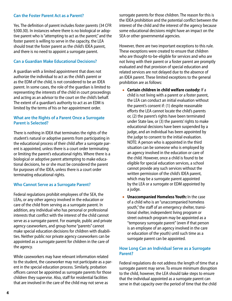#### **Can the Foster Parent Act as a Parent?**

Yes. The definition of parent includes foster parents (34 CFR §300.30). In instances where there is no biological or adoptive parent who is "attempting to act as the parent," and the foster parent is willing to serve in the capacity, the LEA should treat the foster parent as the child's IDEA parent, and there is no need to appoint a surrogate parent.

#### **Can a Guardian Make Educational Decisions?**

A guardian with a limited appointment that does not authorize the individual to act as the child's parent or as the EDM of the child, is not considered to be an IDEA parent. In some cases, the role of the guardian is limited to representing the interests of the child in court proceedings and acting as an advisor to the court on the child's behalf. The extent of a guardian's authority to act as an EDM is limited by the terms of his or her appointment order.

#### **What are the Rights of a Parent Once a Surrogate Parent is Selected?**

There is nothing in IDEA that terminates the rights of the student's natural or adoptive parents from participating in the educational process of their child after a surrogate parent is appointed, unless there is a court order terminating or limiting the parent's educational rights. Where there is a biological or adoptive parent attempting to make educational decisions, he or she must be considered the parent for purposes of the IDEA, unless there is a court order terminating educational rights.

#### **Who Cannot Serve as a Surrogate Parent?**

Federal regulations prohibit employees of the SEA, the LEAs, or any other agency involved in the education or care of the child from serving as a surrogate parent. In addition, any individual who has personal or professional interests that conflict with the interest of the child cannot serve as a surrogate parent. For example, public and private agency caseworkers, and group home "parents" cannot make special education decisions for children with disabilities. Neither public nor private agency caseworkers can be appointed as a surrogate parent for children in the care of the agency.

While caseworkers may have relevant information related to the student, the caseworker may not participate as a parent in the special education process. Similarly, probation officers cannot be appointed as surrogate parents for those children they supervise. Also, staff for residential facilities that are involved in the care of the child may not serve as

surrogate parents for those children. The reason for this is the IDEA prohibition and the potential conflict between the interest of the child and the interest of the agency because some educational decisions might have an impact on the SEA or other governmental agencies.

However, there are two important exceptions to this rule. These exceptions were created to ensure that children who are thought-to-be-eligible for services and who are not living with their parent or a foster parent are promptly evaluated and that provision of special education and related services are not delayed due to the absence of an IDEA parent. These limited exceptions to the general prohibition are as follows:

- **Certain children in child welfare custody:** If a child is not living with a parent or a foster parent, the LEA can conduct an initial evaluation without the parent's consent if: (1) despite reasonable efforts the LEA cannot locate the child's parents or, (2) the parent's rights have been terminated under State law, or (3) the parents' rights to make educational decisions have been suspended by a judge, and an individual has been appointed by the judge to consent to the initial evaluation. NOTE: A person who is appointed in the third situation can be someone who is employed by an agency involved in the education or care of the child. However, once a child is found to be eligible for special education services, a school cannot provide any such services without the written permission of the child's IDEA parent, which may be a surrogate parent appointed by the LEA or a surrogate or EDM appointed by a judge.
- **Unaccompanied Homeless Youth:** In the case of a child who is an "unaccompanied homeless youth," the staff of an emergency shelter, transitional shelter, independent living program or street outreach program may be appointed as a "temporary surrogate parent" (even if that person is an employee of an agency involved in the care or education of the youth) until such time as a surrogate parent can be appointed.

#### **How Long Can an Individual Serve as a Surrogate Parent?**

Federal regulations do not address the length of time that a surrogate parent may serve. To ensure minimum disruption to the child, however, the LEA should take steps to ensure that the individual appointed as a surrogate parent can serve in that capacity over the period of time that the child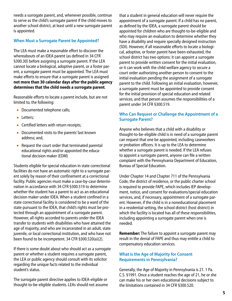needs a surrogate parent, and, whenever possible, continue to serve as the child's surrogate parent if the child moves to another school district, at least until a new surrogate parent is appointed.

### **When Must a Surrogate Parent be Appointed?**

The LEA must make a reasonable effort to discover the whereabouts of an IDEA parent (as defined in 34 CFR §300.30) before assigning a surrogate parent. If the LEA cannot locate a biological, adoptive parent, or a foster parent, a surrogate parent must be appointed. The LEA must make efforts to ensure that a surrogate parent is assigned **not more than 30 calendar days after the public agency determines that the child needs a surrogate parent***.*

Reasonable efforts to locate a parent include, but are not limited to, the following:

- Documented telephone calls;
- Letters;
- Certified letters with return receipts;
- Documented visits to the parents' last known address; and,
- Request the court order that terminated parental educational rights and/or appointed the educational decision maker (EDM)

Students eligible for special education in state correctional facilities do not have an automatic right to a surrogate parent solely by reason of their confinement at a correctional facility. Public agencies must make a case-by-case determination in accordance with 34 CFR §300.519 to determine whether the student has a parent to act as an educational decision maker under IDEA. When a student confined in a state correctional facility is considered to be a ward of the state pursuant to the IDEA, that child's rights must be protected through an appointment of a surrogate parent. However, all rights accorded to parents under the IDEA transfer to students with disabilities who have attained the age of majority, and who are incarcerated in an adult, state juvenile, or local correctional institution, and who have not been found to be incompetent. 34 CFR §300.520(a)(2).

If there is some doubt about who should act as a surrogate parent or whether a student requires a surrogate parent, the LEA or public agency should consult with its solicitor regarding the unique facts related to the individual student's status.

The surrogate parent directive applies to IDEA-eligible or thought-to-be-eligible students. LEAs should not assume that a student in general education will never require the appointment of a surrogate parent. If a child has no parent, as defined by the IDEA, a surrogate parent should be appointed for children who are thought-to-be-eligible and who may require an evaluation to determine whether they have a disability and require specially designed instruction (SDI). However, if all reasonable efforts to locate a biological, adoptive, or foster parent have been exhausted, the school district has two options: it can appoint a surrogate parent to provide written consent for the initial evaluation, or it can work with the child welfare agency to secure a court order authorizing another person to consent to the initial evaluation pending the assignment of a surrogate parent to the child. Following an initial evaluation, however, a surrogate parent must be appointed to provide consent for the initial provision of special education and related services, and that person assumes the responsibilities of a parent under 34 CFR §300.519.

#### **Who Can Request or Challenge the Appointment of a Surrogate Parent?**

Anyone who believes that a child with a disability or thought-to-be-eligible child is in need of a surrogate parent can request that one be appointed, including caseworkers or probation officers. It is up to the LEA to determine whether a surrogate parent is needed. If the LEA refuses to appoint a surrogate parent, anyone can file a written complaint with the Pennsylvania Department of Education, Bureau of Special Education.

Under Chapter 14 and Chapter 711 of the Pennsylvania Code, the district of residence, or the public charter school is required to provide FAPE, which includes IEP development, notice, and consent for evaluations/special education services, and, if necessary, appointment of a surrogate parent. However, if the child is in a noneducational placement in a residential setting, the school district (host district) in which the facility is located has all of these responsibilities, including appointing a surrogate parent when one is needed.

**Remember:** The failure to appoint a surrogate parent may result in the denial of FAPE and thus may entitle a child to compensatory education services.

#### **What is the Age of Majority for Consent Requirements in Pennsylvania?**

Generally, the Age of Majority in Pennsylvania is 21. 1 Pa. C.S. §1991. Once a student reaches the age of 21, he or she can make his or her own educational decisions subject to the limitations contained in 34 CFR §300.520.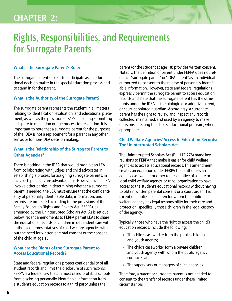# **CHAPTER 2:**

# **Rights, Responsibilities, and Requirements for Surrogate Parents**

#### **What is the Surrogate Parent's Role?**

The surrogate parent's role is to participate as an educational decision maker in the special education process and to stand in for the parent.

### **What is the Authority of the Surrogate Parent?**

The surrogate parent represents the student in all matters relating to identification, evaluation, and educational placement, as well as the provision of FAPE, including submitting a dispute to mediation or due process for resolution. It is important to note that a surrogate parent for the purposes of the IDEA is not a replacement for a parent in any other sense, or for non-IDEA decision making.

### **What is the Relationship of the Surrogate Parent to Other Agencies?**

There is nothing in the IDEA that would prohibit an LEA from collaborating with judges and child advocates in establishing a process for assigning surrogate parents. In fact, such practices are advantageous. However, when LEAs involve other parties in determining whether a surrogate parent is needed, the LEA must ensure that the confidentiality of personally identifiable data, information, and records are protected according to the provisions of the Family Education Rights and Privacy Act (FERPA), as amended by the Uninterrupted Scholars Act. As is set out below, recent amendments to FERPA permit LEAs to share the educational records of children in dependent care with authorized representatives of child welfare agencies without the need for written parental consent or the consent of the child at age 18.

#### **What are the Rights of the Surrogate Parent to Access Educational Records?**

State and federal regulations protect confidentiality of all student records and limit the disclosure of such records. FERPA is a federal law that, in most cases, prohibits schools from disclosing personally identifiable information from a student's education records to a third party unless the

parent (or the student at age 18) provides written consent. Notably, the definition of parent under FERPA does not reference "surrogate parent" or "IDEA parent" as an individual authorized to consent to the release of personally identifiable information. However, state and federal regulations expressly permit the surrogate parent to access education records and state that the surrogate parent has the same rights under the IDEA as the biological or adoptive parent, or court appointed guardian. Accordingly, a surrogate parent has the right to review and inspect any records collected, maintained, and used by an agency to make decisions affecting the child's educational program, when appropriate.

#### **Child Welfare Agencies' Access to Education Records: The Uninterrupted Scholars Act**

The Uninterrupted Scholars Act (P.L. 112-278) made key revisions to FERPA that make it easier for child welfare agencies to access educational records. This amendment creates an exception under FERPA that authorizes an agency caseworker or other representative of a state or local child welfare agency, or tribal organization to have access to the student's educational records without having to obtain written parental consent or a court order. This exception applies to children for whom the public child welfare agency has legal responsibility for their care and protection, specifically those children in the legal custody of the agency.

Typically, those who have the right to access the child's education records, include the following:

- The child's caseworker from the public children and youth agency;
- The child's caseworker form a private children and youth agency with whom the public agency contracts; and,
- The supervisors or managers of such agencies.

Therefore, a parent or surrogate parent is not needed to consent to the transfer of records under these limited circumstances.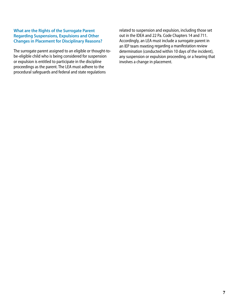#### **What are the Rights of the Surrogate Parent Regarding Suspensions, Expulsions and Other Changes in Placement for Disciplinary Reasons?**

The surrogate parent assigned to an eligible or thought-tobe-eligible child who is being considered for suspension or expulsion is entitled to participate in the discipline proceedings as the parent. The LEA must adhere to the procedural safeguards and federal and state regulations

related to suspension and expulsion, including those set out in the IDEA and 22 Pa. Code Chapters 14 and 711. Accordingly, an LEA must include a surrogate parent in an IEP team meeting regarding a manifestation review determination (conducted within 10 days of the incident), any suspension or expulsion proceeding, or a hearing that involves a change in placement.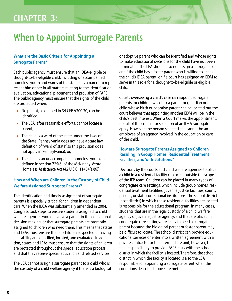# **CHAPTER 3:**

# **When to Appoint Surrogate Parents**

### **What are the Basic Criteria for Appointing a Surrogate Parent?**

Each public agency must ensure that an IDEA-eligible or thought-to-be-eligible child, including unaccompanied homeless youth and wards of the state, has a parent to represent him or her in all matters relating to the identification, evaluation, educational placement and provision of FAPE. The public agency must ensure that the rights of the child are protected when:

- No parent, as defined in 34 CFR §300.30, can be identified;
- The LEA, after reasonable efforts, cannot locate a parent;
- The child is a ward of the state under the laws of the State (Pennsylvania does not have a state law definition of "ward of state" so this provision does not apply in Pennsylvania); or,
- The child is an unaccompanied homeless youth, as defined in section 725(6) of the McKinney-Vento Homeless Assistance Act (42 U.S.C. 11434(a)(6)).

### **How and When are Children in the Custody of Child Welfare Assigned Surrogate Parents?**

The identification and timely assignment of surrogate parents is especially critical for children in dependent care. When the IDEA was substantially amended in 2004, Congress took steps to ensure students assigned to child welfare agencies would involve a parent in the educational decision making, or that surrogate parents are promptly assigned to children who need them. This means that states and LEAs must ensure that all children suspected of having a disability are identified, located, and evaluated. In addition, states and LEAs must ensure that the rights of children are protected throughout the special education process, and that they receive special education and related services.

The LEA cannot assign a surrogate parent to a child who is the custody of a child welfare agency if there is a biological or adoptive parent who can be identified and whose rights to make educational decisions for the child have not been terminated. The LEA should also not assign a surrogate parent if the child has a foster parent who is willing to act as the child's IDEA parent, or if a court has assigned an EDM to serve in this role for a thought-to-be-eligible or eligible child.

Courts overseeing a child's case can appoint surrogate parents for children who lack a parent or guardian or for a child whose birth or adoptive parent can be located but the court believes that appointing another EDM will be in the child's best interest. When a Court makes the appointment, not all of the criteria for selection of an IDEA-surrogate apply. However, the person selected still cannot be an employee of an agency involved in the education or care of the child.

#### **How are Surrogate Parents Assigned to Children Residing in Group Homes, Residential Treatment Facilities, and/or Institutions?**

Decisions by the courts and child welfare agencies to place a child in a residential facility can occur outside the scope of the IEP team. Children can be placed in many types of congregate care settings, which include group homes, residential treatment facilities, juvenile justice facilities, county prisons, or state correctional institutions. The school district (host district) in which these residential facilities are located is responsible for the educational program. In many cases, students that are in the legal custody of a child welfare agency or juvenile justice agency, and that are placed in congregate care settings, are likely to need a surrogate parent because the biological parent or foster parent may be difficult to locate. The school district can provide educational services or enter into a written agreement with a private contractor or the intermediate unit; however, the final responsibility to provide FAPE rests with the school district in which the facility is located. Therefore, the school district in which the facility is located is also the LEA responsible for appointing a surrogate parent when the conditions described above are met.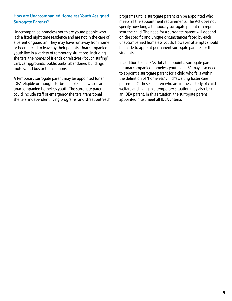### **How are Unaccompanied Homeless Youth Assigned Surrogate Parents?**

Unaccompanied homeless youth are young people who lack a fixed night time residence and are not in the care of a parent or guardian. They may have run away from home or been forced to leave by their parents. Unaccompanied youth live in a variety of temporary situations, including shelters, the homes of friends or relatives ("couch surfing"), cars, campgrounds, public parks, abandoned buildings, motels, and bus or train stations.

A temporary surrogate parent may be appointed for an IDEA-eligible or thought-to-be-eligible child who is an unaccompanied homeless youth. The surrogate parent could include staff of emergency shelters, transitional shelters, independent living programs, and street outreach programs until a surrogate parent can be appointed who meets all the appointment requirements. The Act does not specify how long a temporary surrogate parent can represent the child. The need for a surrogate parent will depend on the specific and unique circumstances faced by each unaccompanied homeless youth. However, attempts should be made to appoint permanent surrogate parents for the students.

In addition to an LEA's duty to appoint a surrogate parent for unaccompanied homeless youth, an LEA may also need to appoint a surrogate parent for a child who falls within the definition of "homeless" child "awaiting foster care placement." These children who are in the custody of child welfare and living in a temporary situation may also lack an IDEA parent. In this situation, the surrogate parent appointed must meet all IDEA criteria.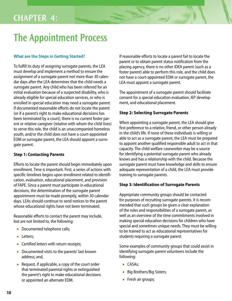# **CHAPTER 4:**

# **The Appointment Process**

### **What are the Steps in Getting Started?**

To fulfill its duty of assigning surrogate parents, the LEA must develop and implement a method to ensure the assignment of a surrogate parent not more than 30 calendar days after the LEA determines that the child needs a surrogate parent. Any child who has been referred for an initial evaluation because of a suspected disability, who is already eligible for special education services, or who is enrolled in special education may need a surrogate parent. If documented reasonable efforts do not locate the parent (or if a parent's right to make educational decisions has been terminated by a court), there is no current foster parent or relative caregiver (relative with whom the child lives) to serve this role, the child is an unaccompanied homeless youth, and/or the child does not have a court-appointed EDM or surrogate parent, the LEA should appoint a surrogate parent.

### **Step 1: Contacting Parents**

Efforts to locate the parent should begin immediately upon enrollment. Time is important. First, a series of actions with specific timelines begins upon enrollment related to identification, evaluation, educational placement, and provision of FAPE. Since a parent must participate in educational decisions, the determination of the surrogate parent appointment must be made promptly, within 30 calendar days. LEAs should continue to send notices to the parent whose educational rights have not been terminated.

Reasonable efforts to contact the parent may include, but are not limited to, the following:

- Documented telephone calls;
- Letters:
- Certified letters with return receipts;
- Documented visits to the parents' last known address; and,
- Request, if applicable, a copy of the court order that terminated parental rights or extinguished the parent's right to make educational decisions or appointed an alternate EDM.

If reasonable efforts to locate a parent fail to locate the parent or to obtain parent status notification from the placing agency, there is no other IDEA parent (such as a foster parent) able to perform this role, and the child does not have a court-appointed EDM or surrogate parent, the LEA must appoint a surrogate parent.

The appointment of a surrogate parent should facilitate consent for a special education evaluation, IEP development, and educational placement.

#### **Step 2: Selecting Surrogate Parents**

When appointing a surrogate parent, the LEA should give first preference to a relative, friend, or other person already in the child's life. If none of these individuals is willing or able to act as a surrogate parent, the LEA must be prepared to appoint another qualified responsible adult to act in that capacity. The child welfare caseworker may be a source for identifying a potential surrogate parent who already knows and has a relationship with the child. Because the surrogate parent must have knowledge and skills to ensure adequate representation of a child, the LEA must provide training to surrogate parents.

#### **Step 3: Identification of Surrogate Parents**

Appropriate community groups should be contacted for purposes of recruiting surrogate parents. It is recommended that such groups be given a clear explanation of the roles and responsibilities of a surrogate parent, as well as an overview of the time commitments involved in making special education decisions for children who have special and sometimes unique needs. They must be willing to be trained to act as educational representatives for students requiring a surrogate parent.

Some examples of community groups that could assist in identifying surrogate parent volunteers include the following:

- CASAs;
- Big Brothers/Big Sisters;
- Fresh air groups;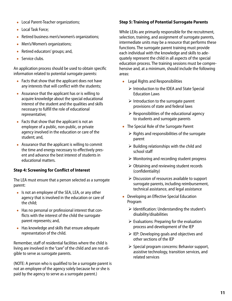- Local Parent-Teacher organizations;
- Local Task Force;
- Retired business men's/women's organizations;
- Men's/Women's organizations;
- Retired educators' groups; and,
- Service clubs.

An application process should be used to obtain specific information related to potential surrogate parents:

- Facts that show that the applicant does not have any interests that will conflict with the students;
- Assurance that the applicant has or is willing to acquire knowledge about the special educational interest of the student and the qualities and skills necessary to fulfill the role of educational representative;
- Facts that show that the applicant is not an employee of a public, non-public, or private agency involved in the education or care of the student; and,
- Assurance that the applicant is willing to commit the time and energy necessary to effectively present and advance the best interest of students in educational matters.

## **Step 4: Screening for Conflict of Interest**

The LEA must ensure that a person selected as a surrogate parent:

- Is not an employee of the SEA, LEA, or any other agency that is involved in the education or care of the child;
- Has no personal or professional interest that conflicts with the interest of the child the surrogate parent represents; and,
- Has knowledge and skills that ensure adequate representation of the child.

Remember, staff of residential facilities where the child is living are involved in the "care" of the child and are not eligible to serve as surrogate parents.

(NOTE: A person who is qualified to be a surrogate parent is not an employee of the agency solely because he or she is paid by the agency to serve as a surrogate parent.)

## **Step 5: Training of Potential Surrogate Parents**

While LEAs are primarily responsible for the recruitment, selection, training, and assignment of surrogate parents, intermediate units may be a resource that performs these functions. The surrogate parent training must provide each individual with the knowledge and skills to adequately represent the child in all aspects of the special education process. The training sessions must be comprehensive and, at a minimum, should include the following areas:

- Legal Rights and Responsibilities
	- $\triangleright$  Introduction to the IDEA and State Special Education Laws
	- $\triangleright$  Introduction to the surrogate parent provisions of state and federal laws
	- $\triangleright$  Responsibilities of the educational agency to students and surrogate parents
- The Special Role of the Surrogate Parent
	- $\triangleright$  Rights and responsibilities of the surrogate parent
	- $\triangleright$  Building relationships with the child and school staff
	- $\triangleright$  Monitoring and recording student progress
	- $\triangleright$  Obtaining and reviewing student records (confidentiality)
	- $\triangleright$  Discussion of resources available to support surrogate parents, including reimbursement, technical assistance, and legal assistance
- Developing an Effective Special Education Program
	- $\triangleright$  Identification: Understanding the student's disability/disabilities
	- $\triangleright$  Evaluations: Preparing for the evaluation process and development of the IEP
	- $\triangleright$  IEP: Developing goals and objectives and other sections of the IEP
	- $\triangleright$  Special program concerns: Behavior support, assistive technology, transition services, and related services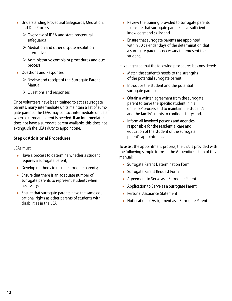- Understanding Procedural Safeguards, Mediation, and Due Process
	- $\triangleright$  Overview of IDEA and state procedural safeguards
	- $\triangleright$  Mediation and other dispute resolution alternatives
	- $\triangleright$  Administrative complaint procedures and due process
- Questions and Responses
	- $\triangleright$  Review and receipt of the Surrogate Parent Manual
	- $\triangleright$  Questions and responses

Once volunteers have been trained to act as surrogate parents, many intermediate units maintain a list of surrogate parents. The LEAs may contact intermediate unit staff when a surrogate parent is needed. If an intermediate unit does not have a surrogate parent available, this does not extinguish the LEAs duty to appoint one.

### **Step 6: Additional Procedures**

LEAs must:

- Have a process to determine whether a student requires a surrogate parent;
- Develop methods to recruit surrogate parents;
- Ensure that there is an adequate number of surrogate parents to represent students when necessary;
- Ensure that surrogate parents have the same educational rights as other parents of students with disabilities in the LEA;
- Review the training provided to surrogate parents to ensure that surrogate parents have sufficient knowledge and skills; and,
- Ensure that surrogate parents are appointed within 30 calendar days of the determination that a surrogate parent is necessary to represent the student.

It is suggested that the following procedures be considered:

- Match the student's needs to the strengths of the potential surrogate parent;
- Introduce the student and the potential surrogate parent;
- Obtain a written agreement from the surrogate parent to serve the specific student in his or her IEP process and to maintain the student's and the family's rights to confidentiality; and,
- Inform all involved persons and agencies responsible for the residential care and education of the student of the surrogate parent's appointment.

To assist the appointment process, the LEA is provided with the following sample forms in the Appendix section of this manual:

- Surrogate Parent Determination Form
- Surrogate Parent Request Form
- Agreement to Serve as a Surrogate Parent
- Application to Serve as a Surrogate Parent
- Personal Assurance Statement
- Notification of Assignment as a Surrogate Parent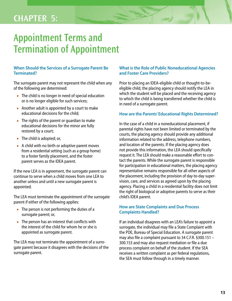# **CHAPTER 5:**

# **Appointment Terms and Termination of Appointment**

#### **When Should the Services of a Surrogate Parent Be Terminated?**

The surrogate parent may not represent the child when any of the following are determined:

- The child is no longer in need of special education or is no longer eligible for such services;
- Another adult is appointed by a court to make educational decisions for the child;
- The rights of the parent or guardian to make educational decisions for the minor are fully restored by a court;
- The child is adopted; or,
- A child with no birth or adoptive parent moves from a residential setting (such as a group home) to a foster family placement, and the foster parent serves as the IDEA parent.

If the new LEA is in agreement, the surrogate parent can continue to serve when a child moves from one LEA to another unless and until a new surrogate parent is appointed.

The LEA must terminate the appointment of the surrogate parent if either of the following applies:

- The person is not performing the duties of a surrogate parent; or,
- The person has an interest that conflicts with the interest of the child for whom he or she is appointed as surrogate parent.

The LEA may not terminate the appointment of a surrogate parent because it disagrees with the decisions of the surrogate parent.

#### **What is the Role of Public Noneducational Agencies and Foster Care Providers?**

Prior to placing an IDEA-eligible child or thought-to-beeligible child, the placing agency should notify the LEA in which the student will be placed and the receiving agency to which the child is being transferred whether the child is in need of a surrogate parent.

#### **How are the Parents' Educational Rights Determined?**

In the case of a child in a noneducational placement, if parental rights have not been limited or terminated by the courts, the placing agency should provide any additional information related to the address, telephone numbers, and location of the parents. If the placing agency does not provide this information, the LEA should specifically request it. The LEA should make a reasonable effort to contact the parents. While the surrogate parent is responsible for participation in educational matters, the placing agency representative remains responsible for all other aspects of the placement, including the provision of day-to-day supervision, care, and services as agreed upon by the placing agency. Placing a child in a residential facility does not limit the right of biological or adoptive parents to serve as their child's IDEA parent.

#### **How are State Complaints and Due Process Complaints Handled?**

If an individual disagrees with an LEA's failure to appoint a surrogate, the individual may file a State Complaint with the PDE, Bureau of Special Education. A surrogate parent may also file a complaint pursuant to 34 C.F.R. §300.151 – 300.153 and may also request mediation or file a due process complaint on behalf of the student. If the SEA receives a written complaint as per federal regulations, the SEA must follow through in a timely manner.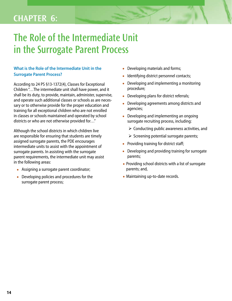# **CHAPTER 6:**

# **The Role of the Intermediate Unit in the Surrogate Parent Process**

## **What is the Role of the Intermediate Unit in the Surrogate Parent Process?**

According to 24 PS §13-1372(4), Classes for Exceptional Children "…The intermediate unit shall have power, and it shall be its duty, to provide, maintain, administer, supervise, and operate such additional classes or schools as are necessary or to otherwise provide for the proper education and training for all exceptional children who are not enrolled in classes or schools maintained and operated by school districts or who are not otherwise provided for…"

Although the school districts in which children live are responsible for ensuring that students are timely assigned surrogate parents, the PDE encourages intermediate units to assist with the appointment of surrogate parents. In assisting with the surrogate parent requirements, the intermediate unit may assist in the following areas:

- Assigning a surrogate parent coordinator;
- Developing policies and procedures for the surrogate parent process;
- Developing materials and forms;
- Identifying district personnel contacts;
- Developing and implementing a monitoring procedure;
- Developing plans for district referrals;
- Developing agreements among districts and agencies;
- Developing and implementing an ongoing surrogate recruiting process, including:
	- $\triangleright$  Conducting public awareness activities, and
	- $\triangleright$  Screening potential surrogate parents;
- Providing training for district staff;
- Developing and providing training for surrogate parents;
- Providing school districts with a list of surrogate parents; and,
- Maintaining up-to-date records.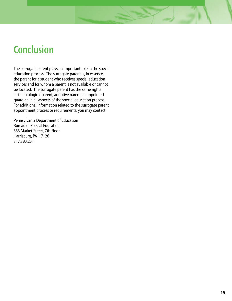# **Conclusion**

The surrogate parent plays an important role in the special education process. The surrogate parent is, in essence, the parent for a student who receives special education services and for whom a parent is not available or cannot be located. The surrogate parent has the same rights as the biological parent, adoptive parent, or appointed guardian in all aspects of the special education process. For additional information related to the surrogate parent appointment process or requirements, you may contact:

Pennsylvania Department of Education Bureau of Special Education 333 Market Street, 7th Floor Harrisburg, PA 17126 717.783.2311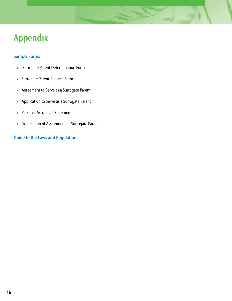# **Appendix**

### **Sample Forms**

- Surrogate Parent Determination Form
- Surrogate Parent Request Form
- Agreement to Serve as a Surrogate Parent
- Application to Serve as a Surrogate Parent
- Personal Assurance Statement
- Notification of Assignment as Surrogate Parent

## **Guide to the Laws and Regulations**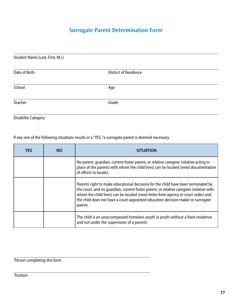## **Surrogate Parent Determination Form**

| Student Name (Last, First, M.I.) |                              |  |  |  |
|----------------------------------|------------------------------|--|--|--|
| Date of Birth                    | <b>District of Residence</b> |  |  |  |
| School                           | Age                          |  |  |  |
| Teacher                          | Grade                        |  |  |  |
| <b>Disability Category</b>       |                              |  |  |  |

If any one of the following situations results in a "YES, "a surrogate parent is deemed necessary.

| <b>YES</b> | <b>NO</b> | <b>SITUATION</b>                                                                                                                                                                                                                                                                                                                                                 |
|------------|-----------|------------------------------------------------------------------------------------------------------------------------------------------------------------------------------------------------------------------------------------------------------------------------------------------------------------------------------------------------------------------|
|            |           | No parent, quardian, current foster parent, or relative caregiver (relative acting in<br>place of the parents with whom the child lives) can be located (need documentation<br>of efforts to locate).                                                                                                                                                            |
|            |           | Parents' right to make educational decisions for the child have been terminated by<br>the court, and no quardian, current foster parent, or relative caregiver (relative with<br>whom the child lives) can be located (need letter from agency or court order) and<br>the child does not have a court-appointed education decision maker or surrogate<br>parent. |
|            |           | The child is an unaccompanied homeless youth (a youth without a fixed residence<br>and not under the supervision of a parent).                                                                                                                                                                                                                                   |

Person completing this form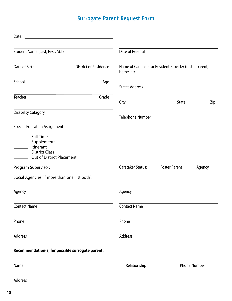## **Surrogate Parent Request Form**

| Student Name (Last, First, M.I.)                                                            | Date of Referral                                                      |                     |
|---------------------------------------------------------------------------------------------|-----------------------------------------------------------------------|---------------------|
| <b>District of Residence</b><br>Date of Birth                                               | Name of Caretaker or Resident Provider (foster parent,<br>home, etc.) |                     |
| School<br>Age                                                                               | <b>Street Address</b>                                                 |                     |
| Teacher<br>Grade                                                                            | City                                                                  | State<br>Zip        |
| <b>Disability Catagory</b>                                                                  | Telephone Number                                                      |                     |
| <b>Special Education Assignment:</b>                                                        |                                                                       |                     |
| Full-Time<br>Supplemental<br>Linerant<br>District Class<br><b>Cut of District Placement</b> |                                                                       |                     |
|                                                                                             | Caretaker Status: ______ Foster Parent ______ Agency                  |                     |
| Social Agencies (if more than one, list both):                                              |                                                                       |                     |
| Agency                                                                                      | Agency                                                                |                     |
| <b>Contact Name</b>                                                                         | <b>Contact Name</b>                                                   |                     |
| Phone                                                                                       | Phone                                                                 |                     |
| <b>Address</b>                                                                              | <b>Address</b>                                                        |                     |
| Recommendation(s) for possible surrogate parent:                                            |                                                                       |                     |
| Name                                                                                        | Relationship                                                          | <b>Phone Number</b> |

**Address**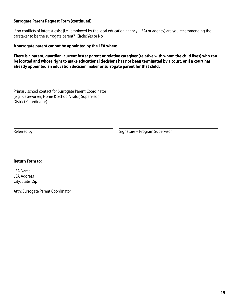#### **Surrogate Parent Request Form (continued)**

If no conflicts of interest exist (i.e., employed by the local education agency (LEA) or agency) are you recommending the caretaker to be the surrogate parent? Circle: Yes or No

#### **A surrogate parent cannot be appointed by the LEA when:**

**There is a parent, guardian, current foster parent or relative caregiver (relative with whom the child lives) who can be located and whose right to make educational decisions has not been terminated by a court, or if a court has already appointed an education decision maker or surrogate parent for that child.**

Primary school contact for Surrogate Parent Coordinator (e.g., Caseworker, Home & School Visitor, Supervisor, District Coordinator)

Referred by **Signature – Program Supervisor** 

#### **Return Form to:**

LEA Name LEA Address City, State Zip

Attn: Surrogate Parent Coordinator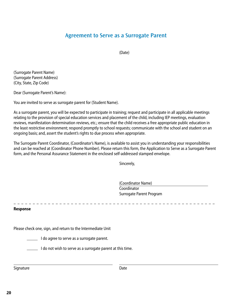## **Agreement to Serve as a Surrogate Parent**

(Date)

(Surrogate Parent Name) (Surrogate Parent Address) (City, State, Zip Code)

Dear (Surrogate Parent's Name):

You are invited to serve as surrogate parent for (Student Name).

As a surrogate parent, you will be expected to participate in training; request and participate in all applicable meetings relating to the provision of special education services and placement of the child, including IEP meetings, evaluation reviews, manifestation determination reviews, etc.; ensure that the child receives a free appropriate public education in the least restrictive environment; respond promptly to school requests; communicate with the school and student on an ongoing basis; and, assert the student's rights to due process when appropriate.

The Surrogate Parent Coordinator, (Coordinator's Name), is available to assist you in understanding your responsibilities and can be reached at (Coordinator Phone Number). Please return this form, the Application to Serve as a Surrogate Parent form, and the Personal Assurance Statement in the enclosed self-addressed stamped envelope.

Sincerely,

(Coordinator Name) **Coordinator** Surrogate Parent Program

– – – – – – – – – – – – – – – – – – – – – – – – – – – – – – – – – – – – – – – – – – – – – – – – – – – – –

**Response**

Please check one, sign, and return to the Intermediate Unit

**I do agree to serve as a surrogate parent.** 

I do not wish to serve as a surrogate parent at this time.

Signature Date **Date**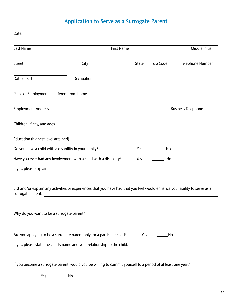## **Application to Serve as a Surrogate Parent**

| Date: <u>___________________________</u>    |                                                                                                                                                                                              |                   |                                                      |                           |
|---------------------------------------------|----------------------------------------------------------------------------------------------------------------------------------------------------------------------------------------------|-------------------|------------------------------------------------------|---------------------------|
| Last Name                                   |                                                                                                                                                                                              | <b>First Name</b> |                                                      |                           |
| <b>Street</b>                               | City                                                                                                                                                                                         | <b>State</b>      | Zip Code                                             | <b>Telephone Number</b>   |
| Date of Birth                               | Occupation                                                                                                                                                                                   |                   |                                                      |                           |
| Place of Employment, if different from home |                                                                                                                                                                                              |                   |                                                      |                           |
| <b>Employment Address</b>                   |                                                                                                                                                                                              |                   |                                                      | <b>Business Telephone</b> |
| Children, if any, and ages                  |                                                                                                                                                                                              |                   |                                                      |                           |
| Education (highest level attained)          |                                                                                                                                                                                              |                   |                                                      |                           |
|                                             | Do you have a child with a disability in your family?                                                                                                                                        | Nes               | $\frac{1}{\sqrt{1-\frac{1}{2}}}\sqrt{1-\frac{1}{2}}$ |                           |
|                                             | Have you ever had any involvement with a child with a disability? _______ Yes                                                                                                                |                   | No                                                   |                           |
|                                             |                                                                                                                                                                                              |                   |                                                      |                           |
| surrogate parent.                           | List and/or explain any activities or experiences that you have had that you feel would enhance your ability to serve as a<br><u> 1980 - Jan Stein Stein, Amerikaansk politiker († 1918)</u> |                   |                                                      |                           |
|                                             |                                                                                                                                                                                              |                   |                                                      |                           |
|                                             | ,我们也不能在这里的时候,我们也不能在这里的时候,我们也不能会在这里,我们也不能会在这里的时候,我们也不能会在这里的时候,我们也不能会在这里的时候,我们也不能会<br>Are you applying to be a surrogate parent only for a particular child? ______Yes _____________No         |                   |                                                      |                           |
|                                             | If yes, please state the child's name and your relationship to the child. [18] [19] [19] [19] [19] [19] [19] [                                                                               |                   |                                                      |                           |
|                                             | If you become a surrogate parent, would you be willing to commit yourself to a period of at least one year?                                                                                  |                   |                                                      |                           |

No No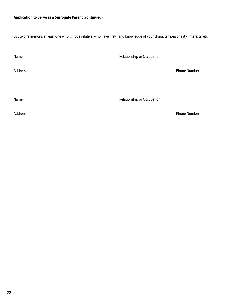### **Application to Serve as a Surrogate Parent (continued)**

List two references, at least one who is not a relative, who have first-hand knowledge of your character, personality, interests, etc:

| Name    | Relationship or Occupation |                     |
|---------|----------------------------|---------------------|
| Address |                            | <b>Phone Number</b> |
| Name    | Relationship or Occupation |                     |
| Address |                            | <b>Phone Number</b> |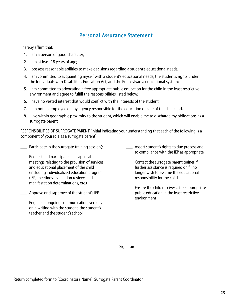## **Personal Assurance Statement**

I hereby affirm that:

- 1. I am a person of good character;
- 2. I am at least 18 years of age;
- 3. I possess reasonable abilities to make decisions regarding a student's educational needs;
- 4. I am committed to acquainting myself with a student's educational needs, the student's rights under the Individuals with Disabilities Education Act, and the Pennsylvania educational system;
- 5. I am committed to advocating a free appropriate public education for the child in the least restrictive environment and agree to fulfill the responsibilities listed below;
- 6. I have no vested interest that would conflict with the interests of the student;
- 7. I am not an employee of any agency responsible for the education or care of the child; and,
- 8. I live within geographic proximity to the student, which will enable me to discharge my obligations as a surrogate parent.

RESPONSIBILITIES OF SURROGATE PARENT (initial indicating your understanding that each of the following is a component of your role as a surrogate parent):

- Participate in the surrogate training session(s)
- Request and participate in all applicable meetings relating to the provision of services and educational placement of the child (including individualized education program (IEP) meetings, evaluation reviews and manifestation determinations, etc.)
- Approve or disapprove of the student's IEP
- **Engage in ongoing communication, verbally** or in writing with the student, the student's teacher and the student's school
- **Assert student's rights to due process and** to compliance with the IEP as appropriate
- **Contact the surrogate parent trainer if** further assistance is required or if I no longer wish to assume the educational responsibility for the child
- Ensure the child receives a free appropriate public education in the least restrictive environment

**Signature** 

Return completed form to (Coordinator's Name), Surrogate Parent Coordinator.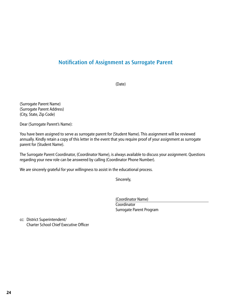## **Notification of Assignment as Surrogate Parent**

(Date)

(Surrogate Parent Name) (Surrogate Parent Address) (City, State, Zip Code)

Dear (Surrogate Parent's Name):

You have been assigned to serve as surrogate parent for (Student Name). This assignment will be reviewed annually. Kindly retain a copy of this letter in the event that you require proof of your assignment as surrogate parent for (Student Name).

The Surrogate Parent Coordinator, (Coordinator Name), is always available to discuss your assignment. Questions regarding your new role can be answered by calling (Coordinator Phone Number).

We are sincerely grateful for your willingness to assist in the educational process.

Sincerely,

(Coordinator Name) **Coordinator** Surrogate Parent Program

cc: District Superintendent/ Charter School Chief Executive Officer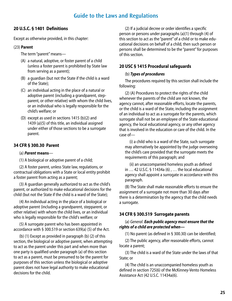## **20 U.S.C. § 1401 Definitions**

Except as otherwise provided, in this chapter:

### (23) **Parent**

The term "parent" means—

- (A) a natural, adoptive, or foster parent of a child (unless a foster parent is prohibited by State law from serving as a parent);
- (B) a guardian (but not the State if the child is a ward of the State);
- (C) an individual acting in the place of a natural or adoptive parent (including a grandparent, stepparent, or other relative) with whom the child lives, or an individual who is legally responsible for the child's welfare; or
- (D) except as used in sections 1415 (b)(2) and 1439 (a)(5) of this title, an individual assigned under either of those sections to be a surrogate parent.

## **34 CFR § 300.30 Parent**

### (a) *Parent* **means**—

(1) A biological or adoptive parent of a child;

(2) A foster parent, unless State law, regulations, or contractual obligations with a State or local entity prohibit a foster parent from acting as a parent;

(3) A guardian generally authorized to act as the child's parent, or authorized to make educational decisions for the child (but not the State if the child is a ward of the State);

(4) An individual acting in the place of a biological or adoptive parent (including a grandparent, stepparent, or other relative) with whom the child lives, or an individual who is legally responsible for the child's welfare; or

(5) A surrogate parent who has been appointed in accordance with § 300.519 or section 639(a) (5) of the Act.

(b) (1) Except as provided in paragraph (b) (2) of this section, the biological or adoptive parent, when attempting to act as the parent under this part and when more than one party is qualified under paragraph (a) of this section to act as a parent, must be presumed to be the parent for purposes of this section unless the biological or adoptive parent does not have legal authority to make educational decisions for the child.

(2) If a judicial decree or order identifies a specific person or persons under paragraphs (a)(1) through (4) of this section to act as the "parent" of a child or to make educational decisions on behalf of a child, then such person or persons shall be determined to be the "parent" for purposes of this section.

## **20 USC § 1415 Procedural safeguards**

### (b) *Types of procedures*

The procedures required by this section shall include the following:

(2) (A) Procedures to protect the rights of the child whenever the parents of the child are not known, the agency cannot, after reasonable efforts, locate the parents, or the child is a ward of the State, including the assignment of an individual to act as a surrogate for the parents, which surrogate shall not be an employee of the State educational agency, the local educational agency, or any other agency that is involved in the education or care of the child. In the case of—

(i) a child who is a ward of the State, such surrogate may alternatively be appointed by the judge overseeing the child's care provided that the surrogate meets the requirements of this paragraph; and

(ii) an unaccompanied homeless youth as defined in … 42 U.S.C. § 11434a (6) , … the local educational agency shall appoint a surrogate in accordance with this paragraph.

(B) The State shall make reasonable efforts to ensure the assignment of a surrogate not more than 30 days after there is a determination by the agency that the child needs a surrogate.

## **34 CFR § 300.519 Surrogate parents**

#### (a) *General*. *Each public agency must ensure that the rights of a child are protected when—*

(1) No parent (as defined in § 300.30) can be identified;

(2) The public agency, after reasonable efforts, cannot locate a parent;

(3) The child is a ward of the State under the laws of that State; or

(4) The child is an unaccompanied homeless youth as defined in section 725(6) of the McKinney-Vento Homeless Assistance Act (42 U.S.C. 11434a(6).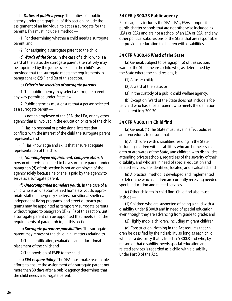b) *Duties of public agency*. The duties of a public agency under paragraph (a) of this section include the assignment of an individual to act as a surrogate for the parents. This must include a method—

(1) For determining whether a child needs a surrogate parent; and

(2) For assigning a surrogate parent to the child.

(c) *Wards of the State*. In the case of a child who is a ward of the State, the surrogate parent alternatively may be appointed by the judge overseeing the child's case, provided that the surrogate meets the requirements in paragraphs (d)(2)(i) and (e) of this section.

#### (d) *Criteria for selection of surrogate parents*.

(1) The public agency may select a surrogate parent in any way permitted under State law.

(2) Public agencies must ensure that a person selected as a surrogate parent—

(i) Is not an employee of the SEA, the LEA, or any other agency that is involved in the education or care of the child;

(ii) Has no personal or professional interest that conflicts with the interest of the child the surrogate parent represents; and

(iii) Has knowledge and skills that ensure adequate representation of the child.

(e) *Non-employee requirement; compensation*. A person otherwise qualified to be a surrogate parent under paragraph (d) of this section is not an employee of the agency solely because he or she is paid by the agency to serve as a surrogate parent.

(f) *Unaccompanied homeless youth*. In the case of a child who is an unaccompanied homeless youth, appropriate staff of emergency shelters, transitional shelters, independent living programs, and street outreach programs may be appointed as temporary surrogate parents without regard to paragraph (d) (2) (i) of this section, until a surrogate parent can be appointed that meets all of the requirements of paragraph (d) of this section.

(g) *Surrogate parent responsibilities*. The surrogate parent may represent the child in all matters relating to—

(1) The identification, evaluation, and educational placement of the child; and

(2) The provision of FAPE to the child.

(h) *SEA responsibility*. The SEA must make reasonable efforts to ensure the assignment of a surrogate parent not more than 30 days after a public agency determines that the child needs a surrogate parent.

#### **34 CFR § 300.33 Public agency**

Public agency includes the SEA, LEAs, ESAs, nonprofit public charter schools that are not otherwise included as LEAs or ESAs and are not a school of an LEA or ESA, and any other political subdivisions of the State that are responsible for providing education to children with disabilities.

### **34 CFR § 300.45 Ward of the State**

(a) General. Subject to paragraph (b) of this section, ward of the State means a child who, as determined by the State where the child resides, is—

(1) A foster child;

(2) A ward of the State; or

(3) In the custody of a public child welfare agency.

(b) Exception. Ward of the State does not include a foster child who has a foster parent who meets the definition of a parent in § 300.30.

#### **34 CFR § 300.111 Child find**

(a) General. (1) The State must have in effect policies and procedures to ensure that—

(i) All children with disabilities residing in the State, including children with disabilities who are homeless children or are wards of the State, and children with disabilities attending private schools, regardless of the severity of their disability, and who are in need of special education and related services, are identified, located, and evaluated; and

(ii) A practical method is developed and implemented to determine which children are currently receiving needed special education and related services.

(c) Other children in child find. Child find also must include—

(1) Children who are suspected of being a child with a disability under § 300.8 and in need of special education, even though they are advancing from grade to grade; and

(2) Highly mobile children, including migrant children.

(d) Construction. Nothing in the Act requires that children be classified by their disability so long as each child who has a disability that is listed in § 300.8 and who, by reason of that disability, needs special education and related services is regarded as a child with a disability under Part B of the Act.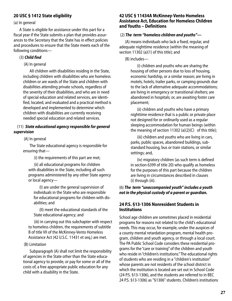## **20 USC § 1412 State eligibility**

#### (a) In general

A State is eligible for assistance under this part for a fiscal year if the State submits a plan that provides assurances to the Secretary that the State has in effect policies and procedures to ensure that the State meets each of the following conditions—

#### (3) *Child find*

#### (A) In general

All children with disabilities residing in the State, including children with disabilities who are homeless children or are wards of the State and children with disabilities attending private schools, regardless of the severity of their disabilities, and who are in need of special education and related services, are identified, located, and evaluated and a practical method is developed and implemented to determine which children with disabilities are currently receiving needed special education and related services.

#### (11) *State educational agency responsible for general supervision*

(A) In general

The State educational agency is responsible for ensuring that—

(i) the requirements of this part are met;

(ii) all educational programs for children with disabilities in the State, including all such programs administered by any other State agency or local agency—

(I) are under the general supervision of individuals in the State who are responsible for educational programs for children with disabilities; and

(II) meet the educational standards of the State educational agency; and

(iii) in carrying out this subchapter with respect to homeless children, the requirements of subtitle B of title VII of the McKinney-Vento Homeless Assistance Act (42 U.S.C. 11431 et seq.) are met.

(B) Limitation

Subparagraph (A) shall not limit the responsibility of agencies in the State other than the State educational agency to provide, or pay for some or all of the costs of, a free appropriate public education for any child with a disability in the State.

#### **42 USC § 11434A McKinney-Vento Homeless Assistance Act, Education for Homeless Children and Youths – Definitions**

### (2) *The term "homeless children and youths"—*

(A) means individuals who lack a fixed, regular, and adequate nighttime residence (within the meaning of section 11302 (a)(1) of this title); and

(B) includes—

(i) children and youths who are sharing the housing of other persons due to loss of housing, economic hardship, or a similar reason; are living in motels, hotels, trailer parks, or camping grounds due to the lack of alternative adequate accommodations; are living in emergency or transitional shelters; are abandoned in hospitals; or, are awaiting foster care placement;

(ii) children and youths who have a primary nighttime residence that is a public or private place not designed for or ordinarily used as a regular sleeping accommodation for human beings (within the meaning of section 11302 (a) $(2)(C)$  of this title);

(iii) children and youths who are living in cars, parks, public spaces, abandoned buildings, substandard housing, bus or train stations, or similar settings; and,

(iv) migratory children (as such term is defined in section 6399 of title 20) who qualify as homeless for the purposes of this part because the children are living in circumstances described in clauses (i) through (iii).

#### (6) *The term "unaccompanied youth" includes a youth not in the physical custody of a parent or guardian.*

#### **24 P.S. §13-1306 Nonresident Students in Institutions**

School age children are sometimes placed in residential programs for reasons not related to the child's educational needs. This may occur, for example, under the auspices of a county mental retardation program, mental health program, children and youth agency, or through a local court. The PA Public School Code considers these residential programs for the "care or training" of the children and youth who reside in "children's institutions." The educational rights of students who are residing in a "children's institution" whose parents are not residents of the school district in which the institution is located are set out in School Code (24 P.S. §13-1306), and the students are referred to in BEC 24 P.S. §13-1306) as "§1306" students. Children's institutions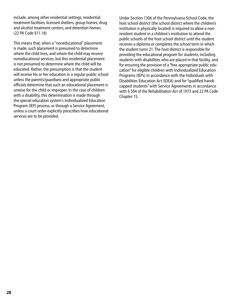include, among other residential settings, residential treatment facilities, licensed shelters, group homes, drug and alcohol treatment centers, and detention homes. (22 PA Code §11.18)

This means that, when a "noneducational" placement is made, such placement is presumed to determine where the child lives, and where the child may receive noneducational services, but this residential placement is not presumed to determine where the child will be educated. Rather, the presumption is that the student will receive his or her education in a regular public school unless the parents/guardians and appropriate public officials determine that such an educational placement is unwise for the child or improper. In the case of children with a disability, this determination is made through the special education system's Individualized Education Program (IEP) process, or through a Service Agreement, unless a court order explicitly prescribes how educational services are to be provided.

Under Section 1306 of the Pennsylvania School Code, the host school district (the school district where the children's institution is physically located) is required to allow a nonresident student in a children's institution to attend the public schools of the host school district until the student receives a diploma or completes the school term in which the student turns 21. The host district is responsible for providing the educational program for students, including students with disabilities who are placed in that facility, and for ensuring the provision of a "free appropriate public education" for eligible children with Individualized Education Programs (IEPs) in accordance with the Individuals with Disabilities Education Act (IDEA) and for "qualified handicapped students" with Service Agreements in accordance with § 504 of the Rehabilitation Act of 1973 and 22 PA Code Chapter 15.